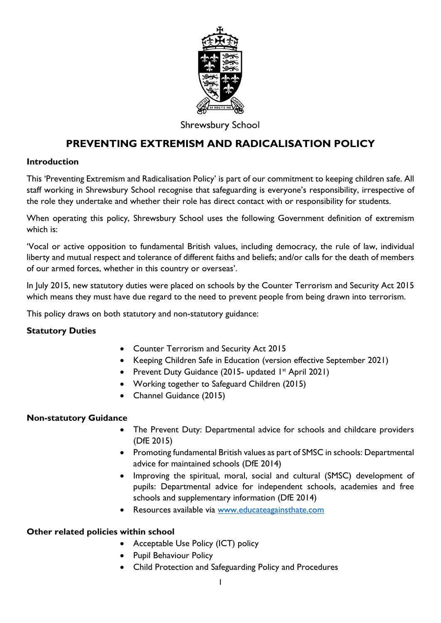

# **Shrewsbury School**

# **PREVENTING EXTREMISM AND RADICALISATION POLICY**

#### **Introduction**

This 'Preventing Extremism and Radicalisation Policy' is part of our commitment to keeping children safe. All staff working in Shrewsbury School recognise that safeguarding is everyone's responsibility, irrespective of the role they undertake and whether their role has direct contact with or responsibility for students.

When operating this policy, Shrewsbury School uses the following Government definition of extremism which is:

'Vocal or active opposition to fundamental British values, including democracy, the rule of law, individual liberty and mutual respect and tolerance of different faiths and beliefs; and/or calls for the death of members of our armed forces, whether in this country or overseas'.

In July 2015, new statutory duties were placed on schools by the Counter Terrorism and Security Act 2015 which means they must have due regard to the need to prevent people from being drawn into terrorism.

This policy draws on both statutory and non-statutory guidance:

# **Statutory Duties**

- Counter Terrorism and Security Act 2015
- Keeping Children Safe in Education (version effective September 2021)
- Prevent Duty Guidance (2015- updated 1<sup>st</sup> April 2021)
- Working together to Safeguard Children (2015)
- Channel Guidance (2015)

#### **Non-statutory Guidance**

- The Prevent Duty: Departmental advice for schools and childcare providers (DfE 2015)
- Promoting fundamental British values as part of SMSC in schools: Departmental advice for maintained schools (DfE 2014)
- Improving the spiritual, moral, social and cultural (SMSC) development of pupils: Departmental advice for independent schools, academies and free schools and supplementary information (DfE 2014)
- Resources available via [www.educateagainsthate.com](http://www.educateagainsthate.com/)

#### **Other related policies within school**

- Acceptable Use Policy (ICT) policy
- Pupil Behaviour Policy
- Child Protection and Safeguarding Policy and Procedures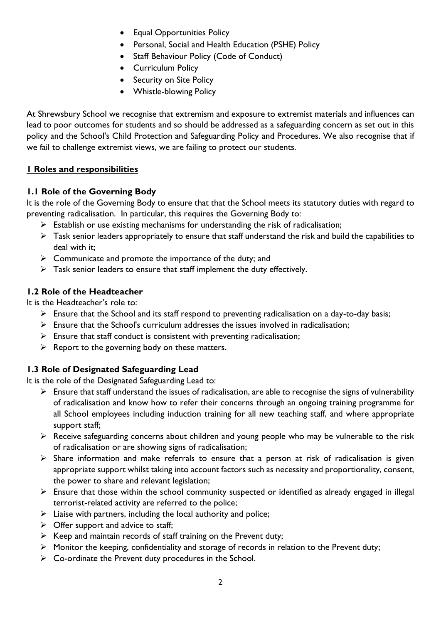- Equal Opportunities Policy
- Personal, Social and Health Education (PSHE) Policy
- Staff Behaviour Policy (Code of Conduct)
- Curriculum Policy
- Security on Site Policy
- Whistle-blowing Policy

At Shrewsbury School we recognise that extremism and exposure to extremist materials and influences can lead to poor outcomes for students and so should be addressed as a safeguarding concern as set out in this policy and the School's Child Protection and Safeguarding Policy and Procedures. We also recognise that if we fail to challenge extremist views, we are failing to protect our students.

# **1 Roles and responsibilities**

# **1.1 Role of the Governing Body**

It is the role of the Governing Body to ensure that that the School meets its statutory duties with regard to preventing radicalisation. In particular, this requires the Governing Body to:

- $\triangleright$  Establish or use existing mechanisms for understanding the risk of radicalisation;
- $\triangleright$  Task senior leaders appropriately to ensure that staff understand the risk and build the capabilities to deal with it;
- ➢ Communicate and promote the importance of the duty; and
- $\triangleright$  Task senior leaders to ensure that staff implement the duty effectively.

# **1.2 Role of the Headteacher**

It is the Headteacher's role to:

- ➢ Ensure that the School and its staff respond to preventing radicalisation on a day-to-day basis;
- $\triangleright$  Ensure that the School's curriculum addresses the issues involved in radicalisation;
- $\triangleright$  Ensure that staff conduct is consistent with preventing radicalisation;
- $\triangleright$  Report to the governing body on these matters.

# **1.3 Role of Designated Safeguarding Lead**

It is the role of the Designated Safeguarding Lead to:

- ➢ Ensure that staff understand the issues of radicalisation, are able to recognise the signs of vulnerability of radicalisation and know how to refer their concerns through an ongoing training programme for all School employees including induction training for all new teaching staff, and where appropriate support staff;
- ➢ Receive safeguarding concerns about children and young people who may be vulnerable to the risk of radicalisation or are showing signs of radicalisation;
- ➢ Share information and make referrals to ensure that a person at risk of radicalisation is given appropriate support whilst taking into account factors such as necessity and proportionality, consent, the power to share and relevant legislation;
- ➢ Ensure that those within the school community suspected or identified as already engaged in illegal terrorist-related activity are referred to the police;
- $\triangleright$  Liaise with partners, including the local authority and police;
- $\triangleright$  Offer support and advice to staff;
- $\triangleright$  Keep and maintain records of staff training on the Prevent duty;
- ➢ Monitor the keeping, confidentiality and storage of records in relation to the Prevent duty;
- $\triangleright$  Co-ordinate the Prevent duty procedures in the School.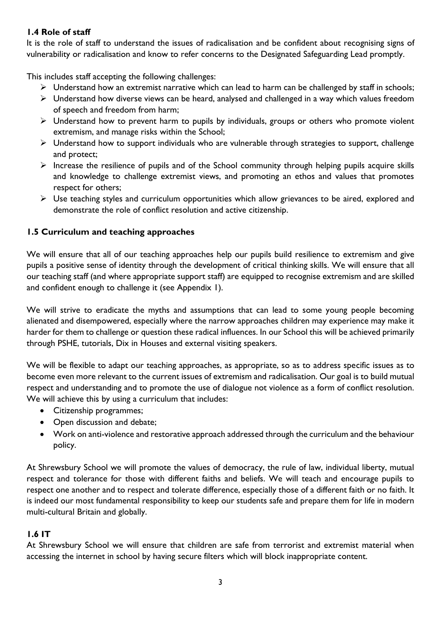# **1.4 Role of staff**

It is the role of staff to understand the issues of radicalisation and be confident about recognising signs of vulnerability or radicalisation and know to refer concerns to the Designated Safeguarding Lead promptly.

This includes staff accepting the following challenges:

- ➢ Understand how an extremist narrative which can lead to harm can be challenged by staff in schools;
- ➢ Understand how diverse views can be heard, analysed and challenged in a way which values freedom of speech and freedom from harm;
- ➢ Understand how to prevent harm to pupils by individuals, groups or others who promote violent extremism, and manage risks within the School;
- ➢ Understand how to support individuals who are vulnerable through strategies to support, challenge and protect;
- $\triangleright$  Increase the resilience of pupils and of the School community through helping pupils acquire skills and knowledge to challenge extremist views, and promoting an ethos and values that promotes respect for others;
- $\triangleright$  Use teaching styles and curriculum opportunities which allow grievances to be aired, explored and demonstrate the role of conflict resolution and active citizenship.

# **1.5 Curriculum and teaching approaches**

We will ensure that all of our teaching approaches help our pupils build resilience to extremism and give pupils a positive sense of identity through the development of critical thinking skills. We will ensure that all our teaching staff (and where appropriate support staff) are equipped to recognise extremism and are skilled and confident enough to challenge it (see Appendix 1).

We will strive to eradicate the myths and assumptions that can lead to some young people becoming alienated and disempowered, especially where the narrow approaches children may experience may make it harder for them to challenge or question these radical influences. In our School this will be achieved primarily through PSHE, tutorials, Dix in Houses and external visiting speakers.

We will be flexible to adapt our teaching approaches, as appropriate, so as to address specific issues as to become even more relevant to the current issues of extremism and radicalisation. Our goal is to build mutual respect and understanding and to promote the use of dialogue not violence as a form of conflict resolution. We will achieve this by using a curriculum that includes:

- Citizenship programmes;
- Open discussion and debate;
- Work on anti-violence and restorative approach addressed through the curriculum and the behaviour policy.

At Shrewsbury School we will promote the values of democracy, the rule of law, individual liberty, mutual respect and tolerance for those with different faiths and beliefs. We will teach and encourage pupils to respect one another and to respect and tolerate difference, especially those of a different faith or no faith. It is indeed our most fundamental responsibility to keep our students safe and prepare them for life in modern multi-cultural Britain and globally.

# **1.6 IT**

At Shrewsbury School we will ensure that children are safe from terrorist and extremist material when accessing the internet in school by having secure filters which will block inappropriate content.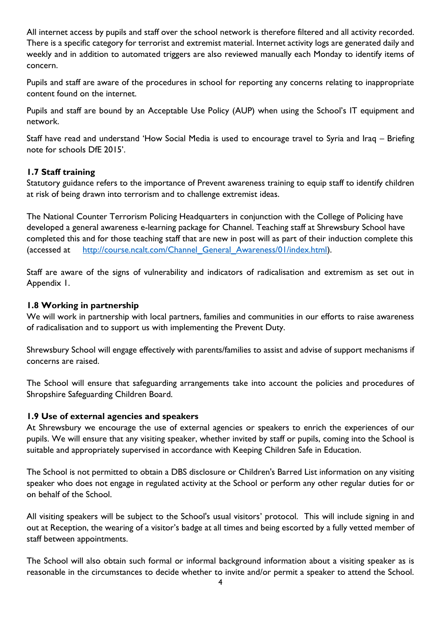All internet access by pupils and staff over the school network is therefore filtered and all activity recorded. There is a specific category for terrorist and extremist material. Internet activity logs are generated daily and weekly and in addition to automated triggers are also reviewed manually each Monday to identify items of concern.

Pupils and staff are aware of the procedures in school for reporting any concerns relating to inappropriate content found on the internet.

Pupils and staff are bound by an Acceptable Use Policy (AUP) when using the School's IT equipment and network.

Staff have read and understand 'How Social Media is used to encourage travel to Syria and Iraq – Briefing note for schools DfE 2015'.

#### **1.7 Staff training**

Statutory guidance refers to the importance of Prevent awareness training to equip staff to identify children at risk of being drawn into terrorism and to challenge extremist ideas.

The National Counter Terrorism Policing Headquarters in conjunction with the College of Policing have developed a general awareness e-learning package for Channel. Teaching staff at Shrewsbury School have completed this and for those teaching staff that are new in post will as part of their induction complete this (accessed at [http://course.ncalt.com/Channel\\_General\\_Awareness/01/index.html\)](http://course.ncalt.com/Channel_General_Awareness/01/index.html).

Staff are aware of the signs of vulnerability and indicators of radicalisation and extremism as set out in Appendix 1.

#### **1.8 Working in partnership**

We will work in partnership with local partners, families and communities in our efforts to raise awareness of radicalisation and to support us with implementing the Prevent Duty.

Shrewsbury School will engage effectively with parents/families to assist and advise of support mechanisms if concerns are raised.

The School will ensure that safeguarding arrangements take into account the policies and procedures of Shropshire Safeguarding Children Board.

#### **1.9 Use of external agencies and speakers**

At Shrewsbury we encourage the use of external agencies or speakers to enrich the experiences of our pupils. We will ensure that any visiting speaker, whether invited by staff or pupils, coming into the School is suitable and appropriately supervised in accordance with Keeping Children Safe in Education.

The School is not permitted to obtain a DBS disclosure or Children's Barred List information on any visiting speaker who does not engage in regulated activity at the School or perform any other regular duties for or on behalf of the School.

All visiting speakers will be subject to the School's usual visitors' protocol. This will include signing in and out at Reception, the wearing of a visitor's badge at all times and being escorted by a fully vetted member of staff between appointments.

The School will also obtain such formal or informal background information about a visiting speaker as is reasonable in the circumstances to decide whether to invite and/or permit a speaker to attend the School.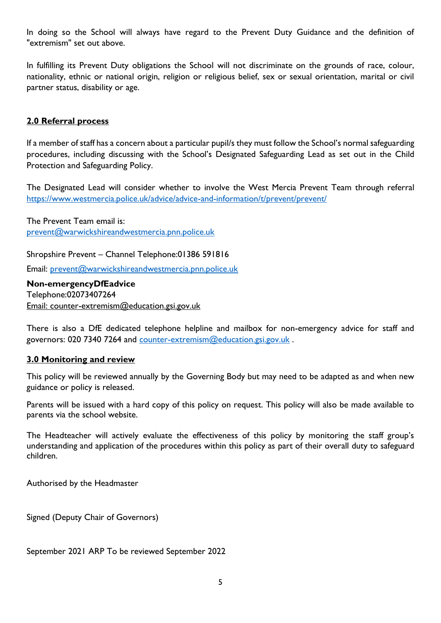In doing so the School will always have regard to the Prevent Duty Guidance and the definition of "extremism" set out above.

In fulfilling its Prevent Duty obligations the School will not discriminate on the grounds of race, colour, nationality, ethnic or national origin, religion or religious belief, sex or sexual orientation, marital or civil partner status, disability or age.

#### **2.0 Referral process**

If a member of staff has a concern about a particular pupil/s they must follow the School's normal safeguarding procedures, including discussing with the School's Designated Safeguarding Lead as set out in the Child Protection and Safeguarding Policy.

The Designated Lead will consider whether to involve the West Mercia Prevent Team through referral <https://www.westmercia.police.uk/advice/advice-and-information/t/prevent/prevent/>

The Prevent Team email is: [prevent@warwickshireandwestmercia.pnn.police.uk](mailto:prevent@warwickshireandwestmercia.pnn.police.uk)

Shropshire Prevent – Channel Telephone:01386 591816

Email: [prevent@warwickshireandwestmercia.pnn.police.uk](mailto:prevent@warwickshireandwestmercia.pnn.police.uk)

**Non-emergencyDfEadvice** Telephone:02073407264 Email: counter-extremism@education.gsi.gov.uk

There is also a DfE dedicated telephone helpline and mailbox for non-emergency advice for staff and governors: 020 7340 7264 and [counter-extremism@education.gsi.gov.uk](mailto:counter-extremism@education.gsi.gov.uk) .

#### **3.0 Monitoring and review**

This policy will be reviewed annually by the Governing Body but may need to be adapted as and when new guidance or policy is released.

Parents will be issued with a hard copy of this policy on request. This policy will also be made available to parents via the school website.

The Headteacher will actively evaluate the effectiveness of this policy by monitoring the staff group's understanding and application of the procedures within this policy as part of their overall duty to safeguard children.

Authorised by the Headmaster

Signed (Deputy Chair of Governors)

September 2021 ARP To be reviewed September 2022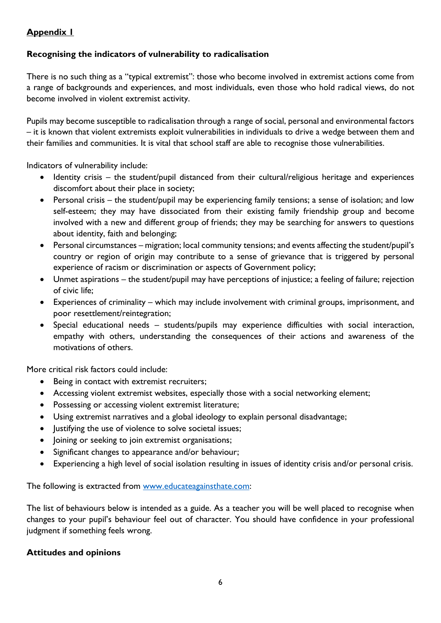# **Appendix 1**

### **Recognising the indicators of vulnerability to radicalisation**

There is no such thing as a "typical extremist": those who become involved in extremist actions come from a range of backgrounds and experiences, and most individuals, even those who hold radical views, do not become involved in violent extremist activity.

Pupils may become susceptible to radicalisation through a range of social, personal and environmental factors – it is known that violent extremists exploit vulnerabilities in individuals to drive a wedge between them and their families and communities. It is vital that school staff are able to recognise those vulnerabilities.

Indicators of vulnerability include:

- Identity crisis the student/pupil distanced from their cultural/religious heritage and experiences discomfort about their place in society;
- Personal crisis the student/pupil may be experiencing family tensions; a sense of isolation; and low self-esteem; they may have dissociated from their existing family friendship group and become involved with a new and different group of friends; they may be searching for answers to questions about identity, faith and belonging;
- Personal circumstances migration; local community tensions; and events affecting the student/pupil's country or region of origin may contribute to a sense of grievance that is triggered by personal experience of racism or discrimination or aspects of Government policy;
- Unmet aspirations the student/pupil may have perceptions of injustice; a feeling of failure; rejection of civic life;
- Experiences of criminality which may include involvement with criminal groups, imprisonment, and poor resettlement/reintegration;
- Special educational needs students/pupils may experience difficulties with social interaction, empathy with others, understanding the consequences of their actions and awareness of the motivations of others.

More critical risk factors could include:

- Being in contact with extremist recruiters;
- Accessing violent extremist websites, especially those with a social networking element;
- Possessing or accessing violent extremist literature;
- Using extremist narratives and a global ideology to explain personal disadvantage;
- Justifying the use of violence to solve societal issues;
- Joining or seeking to join extremist organisations;
- Significant changes to appearance and/or behaviour;
- Experiencing a high level of social isolation resulting in issues of identity crisis and/or personal crisis.

The following is extracted from [www.educateagainsthate.com:](http://www.educateagainsthate.com/)

The list of behaviours below is intended as a guide. As a teacher you will be well placed to recognise when changes to your pupil's behaviour feel out of character. You should have confidence in your professional judgment if something feels wrong.

#### **Attitudes and opinions**